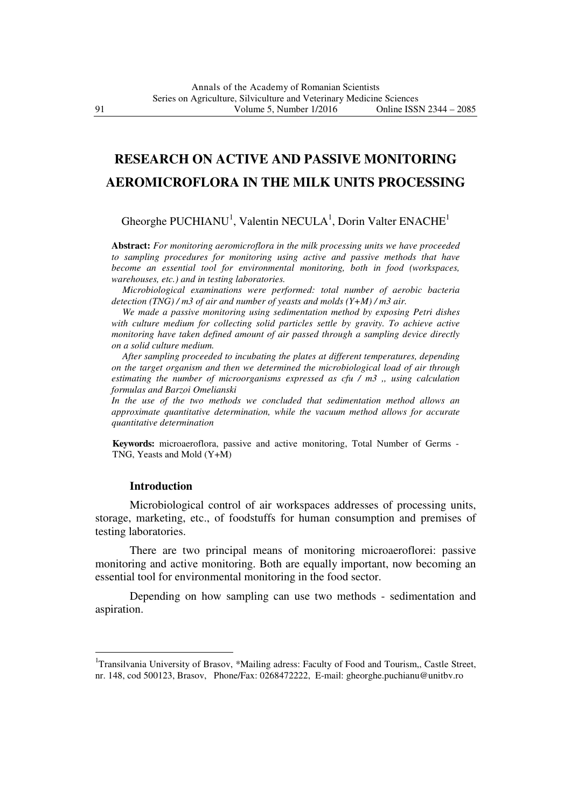# **RESEARCH ON ACTIVE AND PASSIVE MONITORING AEROMICROFLORA IN THE MILK UNITS PROCESSING**

Gheorghe PUCHIANU<sup>1</sup>, Valentin NECULA<sup>1</sup>, Dorin Valter ENACHE<sup>1</sup>

**Abstract:** *For monitoring aeromicroflora in the milk processing units we have proceeded to sampling procedures for monitoring using active and passive methods that have become an essential tool for environmental monitoring, both in food (workspaces, warehouses, etc.) and in testing laboratories.* 

 *Microbiological examinations were performed: total number of aerobic bacteria detection (TNG) / m3 of air and number of yeasts and molds (Y+M) / m3 air.* 

 *We made a passive monitoring using sedimentation method by exposing Petri dishes with culture medium for collecting solid particles settle by gravity. To achieve active monitoring have taken defined amount of air passed through a sampling device directly on a solid culture medium.* 

 *After sampling proceeded to incubating the plates at different temperatures, depending on the target organism and then we determined the microbiological load of air through estimating the number of microorganisms expressed as cfu / m3 ,, using calculation formulas and Barzoi Omelianski* 

In the use of the two methods we concluded that sedimentation method allows an *approximate quantitative determination, while the vacuum method allows for accurate quantitative determination* 

**Keywords:** microaeroflora, passive and active monitoring, Total Number of Germs - TNG, Yeasts and Mold (Y+M)

#### **Introduction**

 $\overline{a}$ 

Microbiological control of air workspaces addresses of processing units, storage, marketing, etc., of foodstuffs for human consumption and premises of testing laboratories.

There are two principal means of monitoring microaeroflorei: passive monitoring and active monitoring. Both are equally important, now becoming an essential tool for environmental monitoring in the food sector.

Depending on how sampling can use two methods - sedimentation and aspiration.

<sup>&</sup>lt;sup>1</sup>Transilvania University of Brasov, \*Mailing adress: Faculty of Food and Tourism,, Castle Street, nr. 148, cod 500123, Brasov, Phone/Fax: 0268472222, E-mail: gheorghe.puchianu@unitbv.ro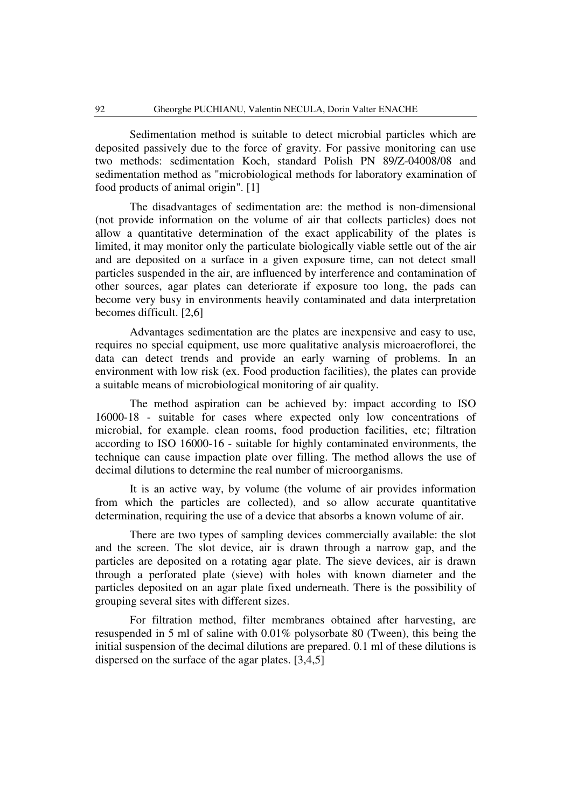Sedimentation method is suitable to detect microbial particles which are deposited passively due to the force of gravity. For passive monitoring can use two methods: sedimentation Koch, standard Polish PN 89/Z-04008/08 and sedimentation method as "microbiological methods for laboratory examination of food products of animal origin". [1]

The disadvantages of sedimentation are: the method is non-dimensional (not provide information on the volume of air that collects particles) does not allow a quantitative determination of the exact applicability of the plates is limited, it may monitor only the particulate biologically viable settle out of the air and are deposited on a surface in a given exposure time, can not detect small particles suspended in the air, are influenced by interference and contamination of other sources, agar plates can deteriorate if exposure too long, the pads can become very busy in environments heavily contaminated and data interpretation becomes difficult. [2,6]

Advantages sedimentation are the plates are inexpensive and easy to use, requires no special equipment, use more qualitative analysis microaeroflorei, the data can detect trends and provide an early warning of problems. In an environment with low risk (ex. Food production facilities), the plates can provide a suitable means of microbiological monitoring of air quality.

The method aspiration can be achieved by: impact according to ISO 16000-18 - suitable for cases where expected only low concentrations of microbial, for example. clean rooms, food production facilities, etc; filtration according to ISO 16000-16 - suitable for highly contaminated environments, the technique can cause impaction plate over filling. The method allows the use of decimal dilutions to determine the real number of microorganisms.

It is an active way, by volume (the volume of air provides information from which the particles are collected), and so allow accurate quantitative determination, requiring the use of a device that absorbs a known volume of air.

There are two types of sampling devices commercially available: the slot and the screen. The slot device, air is drawn through a narrow gap, and the particles are deposited on a rotating agar plate. The sieve devices, air is drawn through a perforated plate (sieve) with holes with known diameter and the particles deposited on an agar plate fixed underneath. There is the possibility of grouping several sites with different sizes.

For filtration method, filter membranes obtained after harvesting, are resuspended in 5 ml of saline with 0.01% polysorbate 80 (Tween), this being the initial suspension of the decimal dilutions are prepared. 0.1 ml of these dilutions is dispersed on the surface of the agar plates. [3,4,5]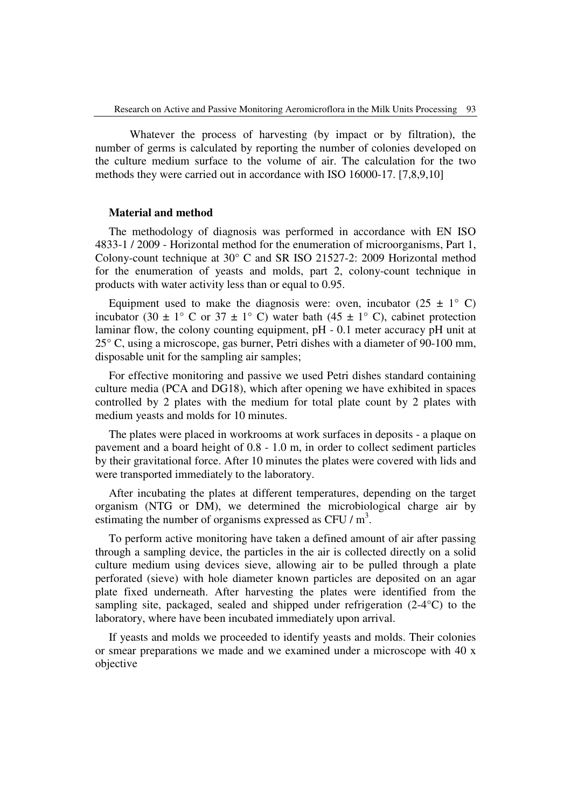Whatever the process of harvesting (by impact or by filtration), the number of germs is calculated by reporting the number of colonies developed on the culture medium surface to the volume of air. The calculation for the two methods they were carried out in accordance with ISO 16000-17. [7,8,9,10]

#### **Material and method**

 The methodology of diagnosis was performed in accordance with EN ISO 4833-1 / 2009 - Horizontal method for the enumeration of microorganisms, Part 1, Colony-count technique at 30° C and SR ISO 21527-2: 2009 Horizontal method for the enumeration of yeasts and molds, part 2, colony-count technique in products with water activity less than or equal to 0.95.

Equipment used to make the diagnosis were: oven, incubator  $(25 \pm 1^{\circ} \text{ C})$ incubator (30  $\pm$  1° C or 37  $\pm$  1° C) water bath (45  $\pm$  1° C), cabinet protection laminar flow, the colony counting equipment, pH - 0.1 meter accuracy pH unit at 25° C, using a microscope, gas burner, Petri dishes with a diameter of 90-100 mm, disposable unit for the sampling air samples;

 For effective monitoring and passive we used Petri dishes standard containing culture media (PCA and DG18), which after opening we have exhibited in spaces controlled by 2 plates with the medium for total plate count by 2 plates with medium yeasts and molds for 10 minutes.

 The plates were placed in workrooms at work surfaces in deposits - a plaque on pavement and a board height of 0.8 - 1.0 m, in order to collect sediment particles by their gravitational force. After 10 minutes the plates were covered with lids and were transported immediately to the laboratory.

 After incubating the plates at different temperatures, depending on the target organism (NTG or DM), we determined the microbiological charge air by estimating the number of organisms expressed as CFU /  $m<sup>3</sup>$ .

 To perform active monitoring have taken a defined amount of air after passing through a sampling device, the particles in the air is collected directly on a solid culture medium using devices sieve, allowing air to be pulled through a plate perforated (sieve) with hole diameter known particles are deposited on an agar plate fixed underneath. After harvesting the plates were identified from the sampling site, packaged, sealed and shipped under refrigeration (2-4°C) to the laboratory, where have been incubated immediately upon arrival.

 If yeasts and molds we proceeded to identify yeasts and molds. Their colonies or smear preparations we made and we examined under a microscope with 40 x objective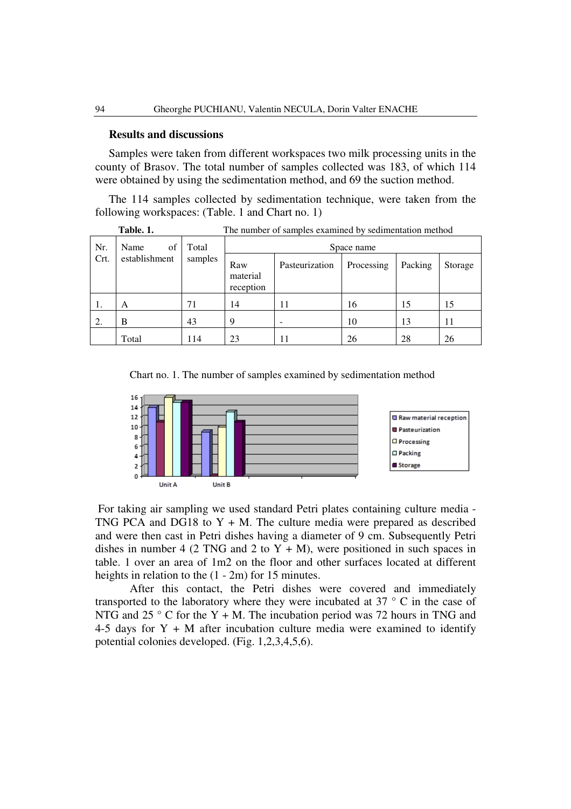### **Results and discussions**

 Samples were taken from different workspaces two milk processing units in the county of Brasov. The total number of samples collected was 183, of which 114 were obtained by using the sedimentation method, and 69 the suction method.

 The 114 samples collected by sedimentation technique, were taken from the following workspaces: (Table. 1 and Chart no. 1)

|      | Table. 1.     |                                         | The number of samples examined by sedimentation method |                |            |         |         |  |  |  |  |  |  |  |
|------|---------------|-----------------------------------------|--------------------------------------------------------|----------------|------------|---------|---------|--|--|--|--|--|--|--|
| Nr.  | Name<br>of    | Total                                   | Space name                                             |                |            |         |         |  |  |  |  |  |  |  |
| Crt. | establishment | samples<br>Raw<br>material<br>reception |                                                        | Pasteurization | Processing | Packing | Storage |  |  |  |  |  |  |  |
| -1.  | A             | 71                                      | 14                                                     | 11             | 16         | 15      | 15      |  |  |  |  |  |  |  |
| 2.   | B             | 43                                      | 9                                                      | -              | 10         | 13      | 11      |  |  |  |  |  |  |  |
|      | Total         | 114                                     | 23                                                     |                | 26         | 28      | 26      |  |  |  |  |  |  |  |

Chart no. 1. The number of samples examined by sedimentation method



 For taking air sampling we used standard Petri plates containing culture media - TNG PCA and DG18 to  $Y + M$ . The culture media were prepared as described and were then cast in Petri dishes having a diameter of 9 cm. Subsequently Petri dishes in number 4 (2 TNG and 2 to  $Y + M$ ), were positioned in such spaces in table. 1 over an area of 1m2 on the floor and other surfaces located at different heights in relation to the (1 - 2m) for 15 minutes.

After this contact, the Petri dishes were covered and immediately transported to the laboratory where they were incubated at  $37 \degree$  C in the case of NTG and 25  $\degree$  C for the Y + M. The incubation period was 72 hours in TNG and 4-5 days for  $Y + M$  after incubation culture media were examined to identify potential colonies developed. (Fig. 1,2,3,4,5,6).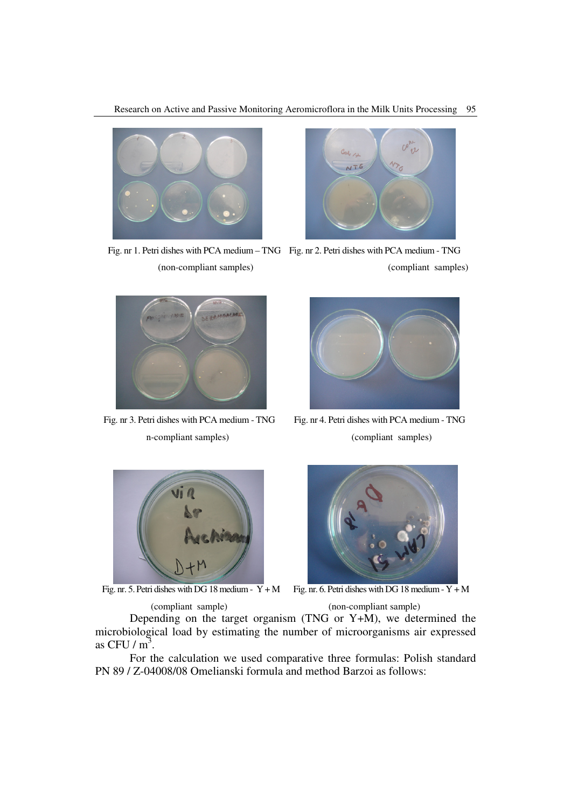



Fig. nr 1. Petri dishes with PCA medium – TNG Fig. nr 2. Petri dishes with PCA medium - TNG (non-compliant samples) (compliant samples)



Fig. nr 3. Petri dishes with PCA medium - TNG Fig. nr 4. Petri dishes with PCA medium - TNG



n-compliant samples) (compliant samples)



Fig. nr. 5. Petri dishes with DG 18 medium -  $Y + M$  Fig. nr. 6. Petri dishes with DG 18 medium -  $Y + M$ 



(compliant sample) (non-compliant sample)

Depending on the target organism (TNG or Y+M), we determined the microbiological load by estimating the number of microorganisms air expressed as CFU /  $m^3$ .

For the calculation we used comparative three formulas: Polish standard PN 89 / Z-04008/08 Omelianski formula and method Barzoi as follows: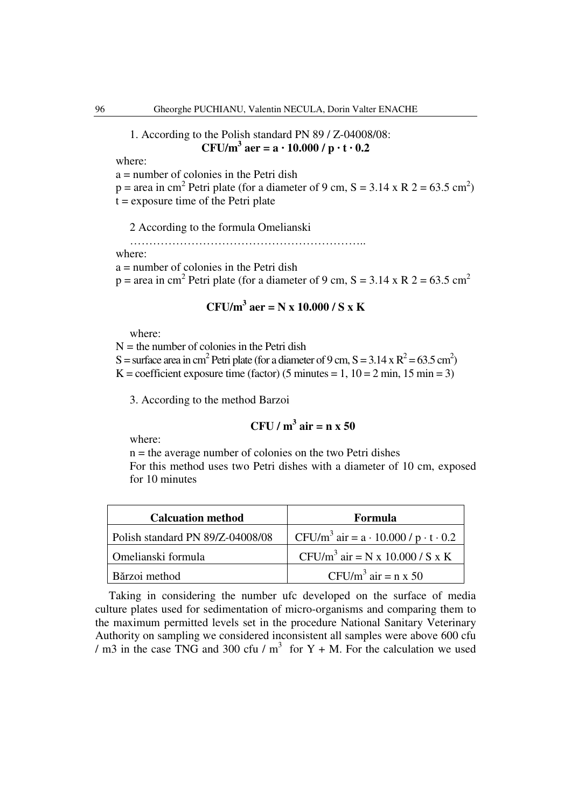1. According to the Polish standard PN 89 / Z-04008/08: **CFU/m<sup>3</sup>**  $\text{aer} = \text{a} \cdot 10.000 / \text{p} \cdot \text{t} \cdot 0.2$ 

where:

a = number of colonies in the Petri dish

 $p = \text{area in cm}^2$  Petri plate (for a diameter of 9 cm, S = 3.14 x R 2 = 63.5 cm<sup>2</sup>)  $t =$  exposure time of the Petri plate

2 According to the formula Omelianski

……………………………………………………..

where:

a = number of colonies in the Petri dish

 $p = \text{area in cm}^2$  Petri plate (for a diameter of 9 cm, S = 3.14 x R 2 = 63.5 cm<sup>2</sup>

**CFU/m<sup>3</sup> aer = N x 10.000 / S x K** 

where:

 $N =$  the number of colonies in the Petri dish S = surface area in cm<sup>2</sup> Petri plate (for a diameter of 9 cm, S = 3.14 x R<sup>2</sup> = 63.5 cm<sup>2</sup>) K = coefficient exposure time (factor) (5 minutes = 1,  $10 = 2$  min,  $15$  min = 3)

3. According to the method Barzoi

$$
CFU/m^3 air = n \times 50
$$

where:

n = the average number of colonies on the two Petri dishes For this method uses two Petri dishes with a diameter of 10 cm, exposed for 10 minutes

| <b>Calcuation method</b>         | Formula                                                         |
|----------------------------------|-----------------------------------------------------------------|
| Polish standard PN 89/Z-04008/08 | CFU/m <sup>3</sup> air = $a \cdot 10.000 / p \cdot t \cdot 0.2$ |
| Omelianski formula               | $CFU/m^3$ air = N x 10.000 / S x K                              |
| Bărzoi method                    | $CFU/m3$ air = n x 50                                           |

 Taking in considering the number ufc developed on the surface of media culture plates used for sedimentation of micro-organisms and comparing them to the maximum permitted levels set in the procedure National Sanitary Veterinary Authority on sampling we considered inconsistent all samples were above 600 cfu / m3 in the case TNG and 300 cfu /  $m^3$  for Y + M. For the calculation we used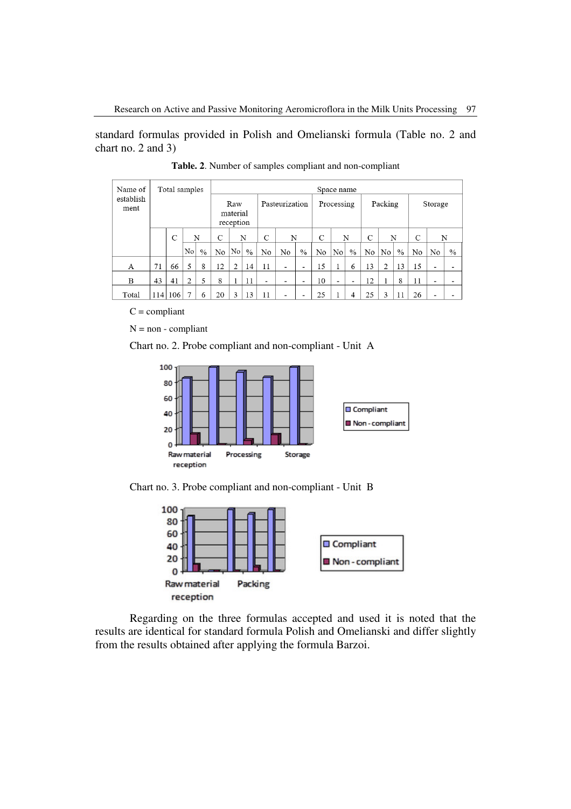standard formulas provided in Polish and Omelianski formula (Table no. 2 and chart no. 2 and 3)

| Name of           |     | Total samples |    |               | Space name                   |    |                |                          |                          |                          |    |    |         |    |    |         |    |                          |                          |
|-------------------|-----|---------------|----|---------------|------------------------------|----|----------------|--------------------------|--------------------------|--------------------------|----|----|---------|----|----|---------|----|--------------------------|--------------------------|
| establish<br>ment |     |               |    |               | Raw<br>material<br>reception |    | Pasteurization |                          |                          | Processing               |    |    | Packing |    |    | Storage |    |                          |                          |
|                   |     | C             | N  |               | C                            | N  |                | C                        | N                        |                          | C  | N  |         | C  | N  |         | C  | N                        |                          |
|                   |     |               | No | $\frac{0}{0}$ | No                           | No | $\%$           | No                       | No                       | $\frac{0}{0}$            | No | No | $\%$    | No | No | $\%$    | No | No                       | $\%$                     |
| A                 | 71  | 66            | 5  | 8             | 12                           | 2  | 14             | 11                       | $\overline{\phantom{0}}$ | $\overline{\phantom{0}}$ | 15 |    | 6       | 13 | 2  | 13      | 15 | $\overline{\phantom{0}}$ | $\overline{\phantom{0}}$ |
| B                 | 43  | 41            | 2  | 5             | 8                            |    | 11             | $\overline{\phantom{0}}$ | -                        | -                        | 10 | ۰  | -       | 12 |    | 8       | 11 |                          | $\overline{\phantom{0}}$ |
| Total             | 114 | 106           |    | 6             | 20                           | 3  | 13             | 11                       |                          |                          | 25 |    |         | 25 | 3  | 11      | 26 |                          | -                        |

**Table. 2**. Number of samples compliant and non-compliant

 $C =$  compliant

 $N = non$  - compliant

Chart no. 2. Probe compliant and non-compliant - Unit A



Chart no. 3. Probe compliant and non-compliant - Unit B



Regarding on the three formulas accepted and used it is noted that the results are identical for standard formula Polish and Omelianski and differ slightly from the results obtained after applying the formula Barzoi.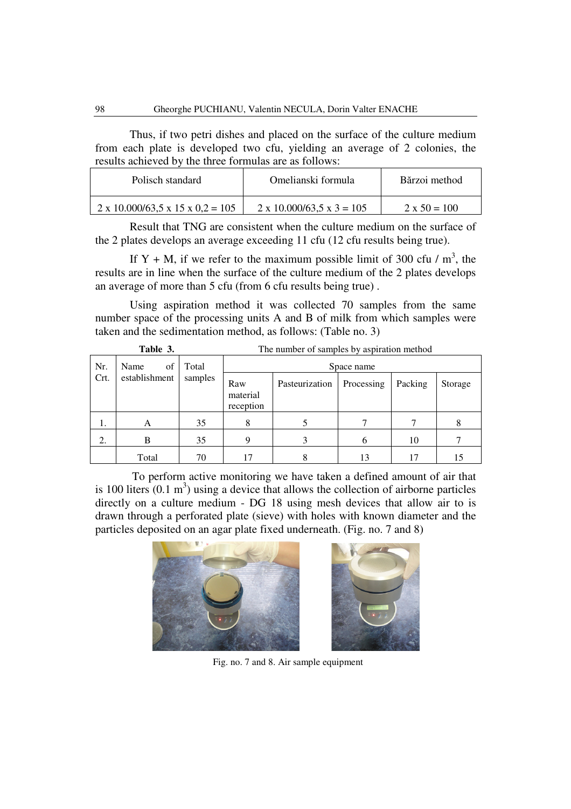Thus, if two petri dishes and placed on the surface of the culture medium from each plate is developed two cfu, yielding an average of 2 colonies, the results achieved by the three formulas are as follows:

| Polisch standard                                    | Omelianski formula                     | Bărzoi method       |  |  |  |  |
|-----------------------------------------------------|----------------------------------------|---------------------|--|--|--|--|
| $2 \times 10.000/63, 5 \times 15 \times 0, 2 = 105$ | $2 \times 10.000/63, 5 \times 3 = 105$ | $2 \times 50 = 100$ |  |  |  |  |

Result that TNG are consistent when the culture medium on the surface of the 2 plates develops an average exceeding 11 cfu (12 cfu results being true).

If Y + M, if we refer to the maximum possible limit of 300 cfu /  $m<sup>3</sup>$ , the results are in line when the surface of the culture medium of the 2 plates develops an average of more than 5 cfu (from 6 cfu results being true) .

Using aspiration method it was collected 70 samples from the same number space of the processing units A and B of milk from which samples were taken and the sedimentation method, as follows: (Table no. 3)

|      | Table 3.      |                                         | The number of samples by aspiration method |                |            |         |         |  |  |  |  |  |  |  |
|------|---------------|-----------------------------------------|--------------------------------------------|----------------|------------|---------|---------|--|--|--|--|--|--|--|
| Nr.  | Name<br>of    | Total                                   | Space name                                 |                |            |         |         |  |  |  |  |  |  |  |
| Crt. | establishment | samples<br>Raw<br>material<br>reception |                                            | Pasteurization | Processing | Packing | Storage |  |  |  |  |  |  |  |
| 1.   | А             | 35                                      |                                            |                |            |         | 8       |  |  |  |  |  |  |  |
| 2.   | B             | 35                                      | Q                                          |                | O          | 10      |         |  |  |  |  |  |  |  |
|      | Total         | 70                                      | $\overline{17}$                            |                | 13         |         | 15      |  |  |  |  |  |  |  |

To perform active monitoring we have taken a defined amount of air that is 100 liters  $(0.1 \text{ m}^3)$  using a device that allows the collection of airborne particles directly on a culture medium - DG 18 using mesh devices that allow air to is drawn through a perforated plate (sieve) with holes with known diameter and the particles deposited on an agar plate fixed underneath. (Fig. no. 7 and 8)





Fig. no. 7 and 8. Air sample equipment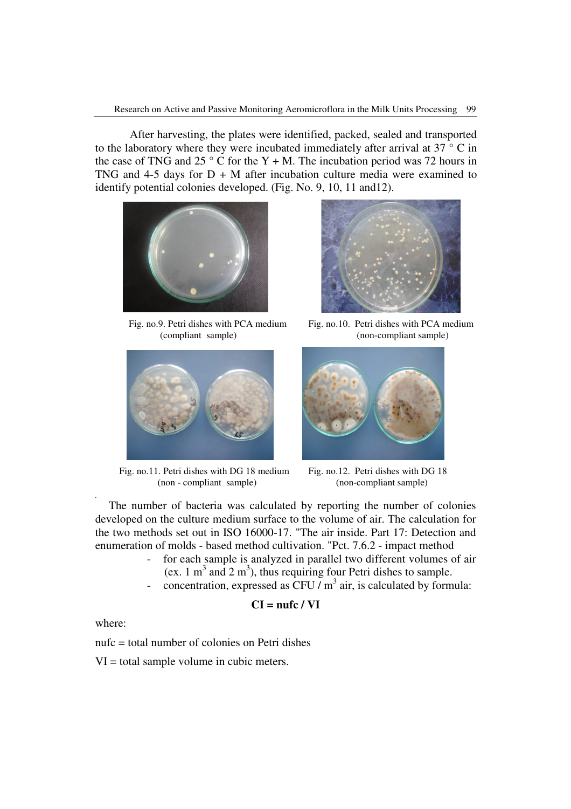After harvesting, the plates were identified, packed, sealed and transported to the laboratory where they were incubated immediately after arrival at  $37 \degree$  C in the case of TNG and 25  $\degree$  C for the Y + M. The incubation period was 72 hours in TNG and 4-5 days for  $D + M$  after incubation culture media were examined to identify potential colonies developed. (Fig. No. 9, 10, 11 and12).





 Fig. no.11. Petri dishes with DG 18 medium Fig. no.12. Petri dishes with DG 18 (non - compliant sample) (non-compliant sample)



 Fig. no.9. Petri dishes with PCA medium Fig. no.10. Petri dishes with PCA medium (compliant sample) (non-compliant sample)



The number of bacteria was calculated by reporting the number of colonies developed on the culture medium surface to the volume of air. The calculation for the two methods set out in ISO 16000-17. "The air inside. Part 17: Detection and enumeration of molds - based method cultivation. "Pct. 7.6.2 - impact method

- for each sample is analyzed in parallel two different volumes of air
- (ex. 1  $m<sup>3</sup>$  and 2 m<sup>3</sup>), thus requiring four Petri dishes to sample.
- concentration, expressed as CFU  $\overline{I}$  m<sup>3</sup> air, is calculated by formula:

$$
CI = nufc / VI
$$

where:

**.** 

nufc = total number of colonies on Petri dishes

VI = total sample volume in cubic meters.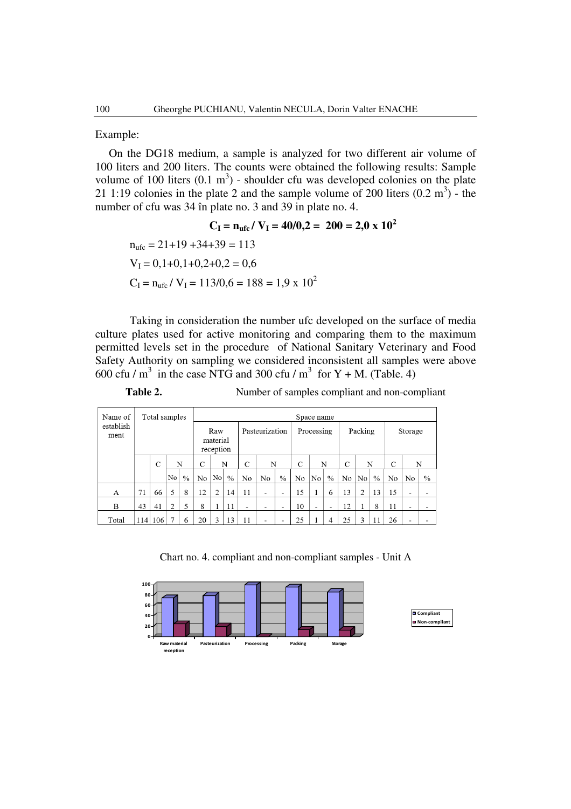Example:

 On the DG18 medium, a sample is analyzed for two different air volume of 100 liters and 200 liters. The counts were obtained the following results: Sample volume of 100 liters  $(0.1 \text{ m}^3)$  - shoulder cfu was developed colonies on the plate 21 1:19 colonies in the plate 2 and the sample volume of 200 liters  $(0.2 \text{ m}^3)$  - the number of cfu was 34 în plate no. 3 and 39 in plate no. 4.

 $C_1 = n_{\text{ufc}} / V_1 = 40/0.2 = 200 = 2.0 \times 10^2$  $n_{\text{ufc}} = 21 + 19 + 34 + 39 = 113$  $V_1 = 0,1+0,1+0,2+0,2 = 0,6$  $C_I = n_{\text{ufc}} / V_I = 113/0, 6 = 188 = 1.9 \times 10^2$ 

Taking in consideration the number ufc developed on the surface of media culture plates used for active monitoring and comparing them to the maximum permitted levels set in the procedure of National Sanitary Veterinary and Food Safety Authority on sampling we considered inconsistent all samples were above 600 cfu /  $m^3$  in the case NTG and 300 cfu /  $m^3$  for Y + M. (Table. 4)

| Table 2. |  | Number of samples compliant and non-compliant |
|----------|--|-----------------------------------------------|
|          |  |                                               |

| Name of           | Total samples |           |                |               | Space name                   |                |      |                          |    |               |            |              |               |         |                |      |         |    |               |
|-------------------|---------------|-----------|----------------|---------------|------------------------------|----------------|------|--------------------------|----|---------------|------------|--------------|---------------|---------|----------------|------|---------|----|---------------|
| establish<br>ment |               |           |                |               | Raw<br>material<br>reception |                |      | Pasteurization           |    |               | Processing |              |               | Packing |                |      | Storage |    |               |
|                   |               | C         |                | N             | C<br>N                       |                | C    | N                        |    | C             | N          |              | C             | N       |                | C    | N       |    |               |
|                   |               |           | No             | $\frac{0}{0}$ | No                           | No             | $\%$ | No                       | No | $\frac{0}{0}$ | No         | No           | $\frac{0}{0}$ | No      | No             | $\%$ | No      | No | $\frac{0}{0}$ |
| A                 | 71            | 66        | 5              | 8             | 12                           | $\overline{2}$ | 14   | 11                       | -  |               | 15         | $\mathbf{I}$ | 6             | 13      | $\overline{2}$ | 13   | 15      |    | -             |
| B                 | 43            | 41        | $\overline{2}$ | 5             | 8                            |                | 11   | $\overline{\phantom{a}}$ | ۰  |               | 10         | ۰            | ۰             | 12      |                | 8    | 11      | ۰  | ۰             |
| Total             |               | 114   106 |                | 6             | 20                           | 3              | 13   | 11                       |    |               | 25         |              | 4             | 25      | 3              |      | 26      |    |               |

Chart no. 4. compliant and non-compliant samples - Unit A

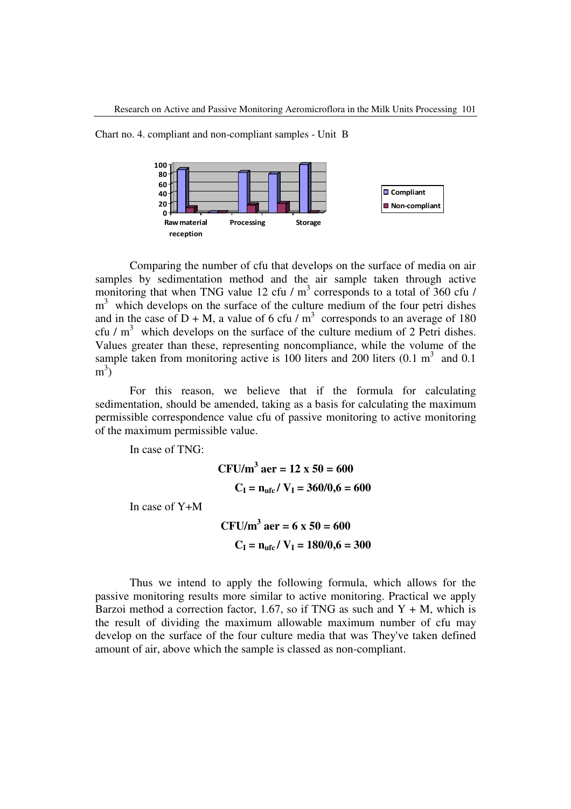Chart no. 4. compliant and non-compliant samples - Unit B



Comparing the number of cfu that develops on the surface of media on air samples by sedimentation method and the air sample taken through active monitoring that when TNG value 12 cfu /  $m<sup>3</sup>$  corresponds to a total of 360 cfu / m<sup>3</sup> which develops on the surface of the culture medium of the four petri dishes and in the case of  $D + M$ , a value of 6 cfu / m<sup>3</sup> corresponds to an average of 180 cfu /  $m<sup>3</sup>$  which develops on the surface of the culture medium of 2 Petri dishes. Values greater than these, representing noncompliance, while the volume of the sample taken from monitoring active is 100 liters and 200 liters  $(0.1 \text{ m}^3)$  and  $(0.1 \text{ m})$  $\mathrm{m}^3$ )

For this reason, we believe that if the formula for calculating sedimentation, should be amended, taking as a basis for calculating the maximum permissible correspondence value cfu of passive monitoring to active monitoring of the maximum permissible value.

In case of TNG:

 $CFU/m^3$  aer = 12 x 50 = 600  $C_I = n_{\text{ufc}} / V_I = 360/0, 6 = 600$ 

In case of Y+M

**CFU/m<sup>3</sup> aer = 6 x 50 = 600 CI = nufc / VI = 180/0,6 = 300** 

Thus we intend to apply the following formula, which allows for the passive monitoring results more similar to active monitoring. Practical we apply Barzoi method a correction factor, 1.67, so if TNG as such and  $Y + M$ , which is the result of dividing the maximum allowable maximum number of cfu may develop on the surface of the four culture media that was They've taken defined amount of air, above which the sample is classed as non-compliant.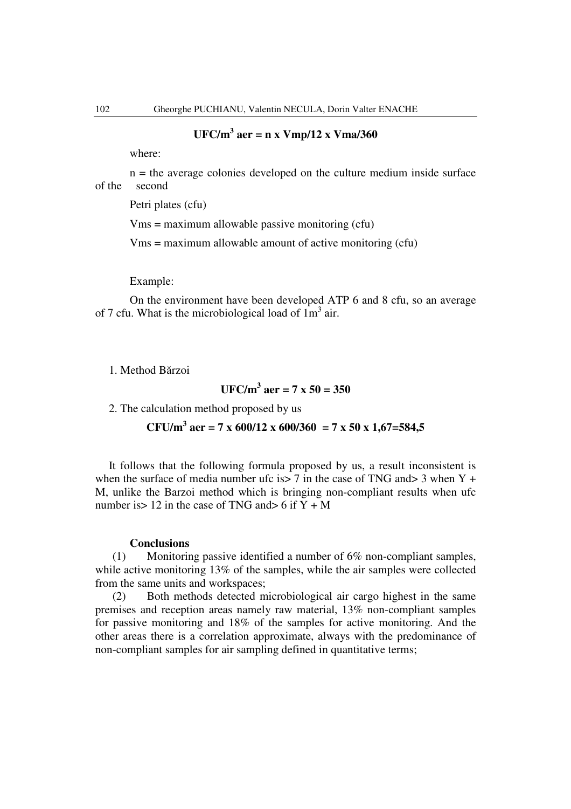**UFC/m<sup>3</sup> aer = n x Vmp/12 x Vma/360** 

where:

 $n =$  the average colonies developed on the culture medium inside surface of the second

Petri plates (cfu)

Vms = maximum allowable passive monitoring (cfu)

Vms = maximum allowable amount of active monitoring (cfu)

Example:

On the environment have been developed ATP 6 and 8 cfu, so an average of 7 cfu. What is the microbiological load of  $1m<sup>3</sup>$  air.

1. Method Bărzoi

UFC/m<sup>3</sup> aer = 
$$
7 \times 50 = 350
$$

2. The calculation method proposed by us

CFU/m<sup>3</sup> aer = 7 x 600/12 x 600/360 = 7 x 50 x 1,67=584,5

It follows that the following formula proposed by us, a result inconsistent is when the surface of media number ufc is  $> 7$  in the case of TNG and  $> 3$  when Y + M, unlike the Barzoi method which is bringing non-compliant results when ufc number is  $> 12$  in the case of TNG and  $> 6$  if  $Y + M$ 

## **Conclusions**

(1) Monitoring passive identified a number of 6% non-compliant samples, while active monitoring 13% of the samples, while the air samples were collected from the same units and workspaces;

(2) Both methods detected microbiological air cargo highest in the same premises and reception areas namely raw material, 13% non-compliant samples for passive monitoring and 18% of the samples for active monitoring. And the other areas there is a correlation approximate, always with the predominance of non-compliant samples for air sampling defined in quantitative terms;